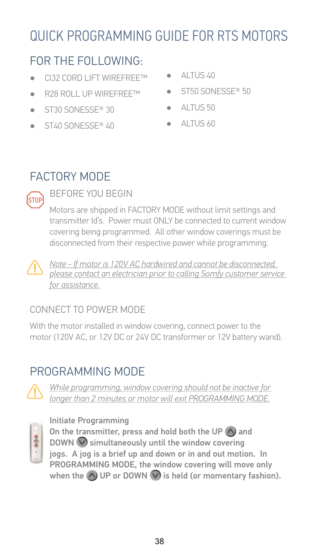# FOR THE FOLLOWING:

- CI32 CORD LIFT WIREEREETM  $\bullet$
- R28 ROLL UP WIREFREE™  $\blacksquare$
- $\blacksquare$ ST30 SONESSE® 30
- ST40 SONESSE® 40  $\bullet$
- AI TUS 40  $\sim$
- ST50 SONESSE® 50  $\bullet$
- ALTUS 50  $\bullet$
- AI TUS 60  $\blacksquare$

# **FACTORY MODE**



### **BEFORE YOU BEGIN**

Motors are shipped in FACTORY MODE without limit settings and transmitter Id's. Power must ONLY be connected to current window covering being programmed. All other window coverings must be disconnected from their respective power while programming.



Note - If motor is 120V AC hardwired and cannot be disconnected, please contact an electrician prior to calling Somfy customer service for assistance.

## CONNECT TO POWER MODE

With the motor installed in window covering, connect power to the motor (120V AC, or 12V DC or 24V DC transformer or 12V battery wand).

# PROGRAMMING MODE



While programming, window covering should not be inactive for longer than 2 minutes or motor will exit PROGRAMMING MODE.



Initiate Programming On the transmitter, press and hold both the UP  $\bigwedge$  and DOWN  $\vee$  simultaneously until the window covering jogs. A jog is a brief up and down or in and out motion. In PROGRAMMING MODE, the window covering will move only when the  $\wedge$  UP or DOWN  $\vee$  is held (or momentary fashion).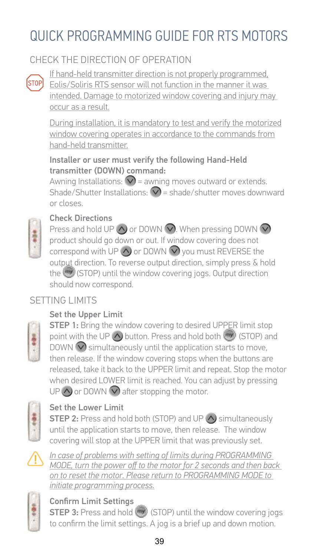## CHECK THE DIRECTION OF OPERATION



If hand-held transmitter direction is not properly programmed. Eolis/Soliris RTS sensor will not function in the manner it was intended. Damage to motorized window covering and iniury may occur as a result.

During installation, it is mandatory to test and verify the motorized window covering operates in accordance to the commands from hand-held transmitter.

#### Installer or user must verify the following Hand-Held transmitter (DOWN) command:

Awning Installations:  $\bigtriangledown$  = awning moves outward or extends. Shade/Shutter Installations:  $\bigtriangledown$  = shade/shutter moves downward or closes.



### **Check Directions**

Press and hold UP  $\bigcirc$  or DOWN  $\bigcirc$ . When pressing DOWN  $\bigcirc$ product should go down or out. If window covering does not correspond with UP  $\bigwedge$  or DOWN  $\bigvee$  you must REVERSE the output direction. To reverse output direction, simply press & hold the (EMI) (STOP) until the window covering jogs. Output direction should now correspond.

## SFTTING LIMITS

### Set the Upper Limit



**STEP 1:** Bring the window covering to desired UPPER limit stop point with the UP <<a>>  $\bigwedge$  button. Press and hold both</a>(STOP) and DOWN  $\bigcirc$  simultaneously until the application starts to move, then release. If the window covering stops when the buttons are released, take it back to the UPPER limit and repeat. Stop the motor when desired LOWER limit is reached. You can adjust by pressing UP  $\bigwedge$  or DOWN  $\bigvee$  after stopping the motor.



### Set the Lower Limit

**STEP 2:** Press and hold both (STOP) and UP (A) simultaneously until the application starts to move, then release. The window covering will stop at the UPPER limit that was previously set.



In case of problems with setting of limits during PROGRAMMING MODE, turn the power off to the motor for 2 seconds and then back on to reset the motor. Please return to PROGRAMMING MODE to initiate programming process.



### **Confirm Limit Settings**

**STEP 3:** Press and hold (570P) until the window covering jogs to confirm the limit settings. A jog is a brief up and down motion.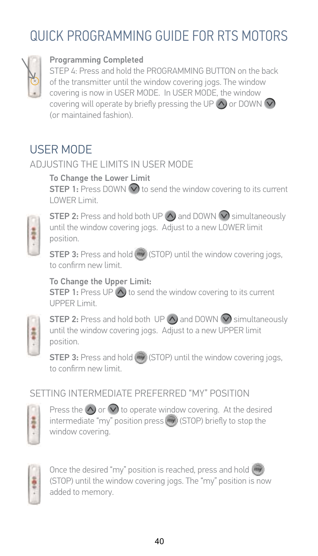

#### Programming Completed

STEP 4: Press and hold the PROGRAMMING BUTTON on the back of the transmitter until the window covering jogs. The window covering is now in USER MODE. In USER MODE, the window covering will operate by briefly pressing the UP  $\wedge$  or DOWN  $\heartsuit$ (or maintained fashion).

# **USER MODE**

### ADJUSTING THE LIMITS IN USER MODE

To Change the Lower Limit **STEP 1:** Press DOWN  $\vee$  to send the window covering to its current LOWER Limit.



**STEP 2:** Press and hold both UP  $\wedge$  and DOWN  $\vee$  simultaneously until the window covering jogs. Adjust to a new LOWER limit position.

**STEP 3:** Press and hold (1990) (STOP) until the window covering jogs. to confirm new limit

#### To Change the Upper Limit:

**STEP 1:** Press UP  $\wedge$  to send the window covering to its current **UPPER Limit.** 



**STEP 2:** Press and hold both UP  $\wedge$  and DOWN  $\vee$  simultaneously until the window covering jogs. Adjust to a new UPPER limit position.

**STEP 3:** Press and hold (-) (STOP) until the window covering jogs, to confirm new limit

### SETTING INTERMEDIATE PREFERRED "MY" POSITION



Press the  $\bigcirc$  or  $\bigcirc$  to operate window covering. At the desired intermediate "my" position press (=y) (STOP) briefly to stop the window covering.



Once the desired "my" position is reached, press and hold ( (STOP) until the window covering jogs. The "my" position is now added to memory.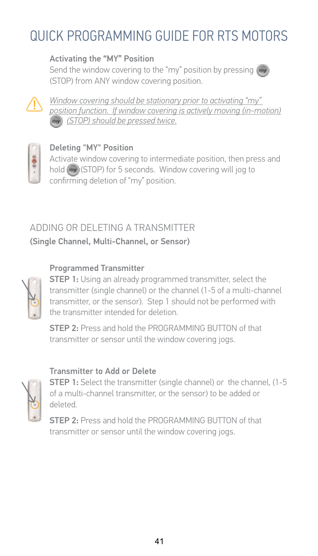#### Activating the "MY" Position

Send the window covering to the "my" position by pressing (STOP) from ANY window covering position.



Window covering should be stationary prior to activatina "mv" position function. If window covering is actively moving (in-motion) (STOP) should be pressed twice.



#### Deleting "MY" Position

Activate window covering to intermediate position, then press and hold (by (STOP) for 5 seconds. Window covering will jog to confirming deletion of "my" position.

## ADDING OR DELFTING A TRANSMITTER (Single Channel, Multi-Channel, or Sensor)

#### **Programmed Transmitter**



**STEP 1:** Using an already programmed transmitter, select the transmitter (single channel) or the channel (1-5 of a multi-channel transmitter, or the sensor). Step 1 should not be performed with the transmitter intended for deletion.

STEP 2. Press and hold the PROGRAMMING BUTTON of that transmitter or sensor until the window covering jogs.

#### Transmitter to Add or Delete



**STEP 1:** Select the transmitter (single channel) or the channel, (1-5 of a multi-channel transmitter, or the sensor) to be added or heteleh

STEP 2: Press and hold the PROGRAMMING BUTTON of that transmitter or sensor until the window covering jogs.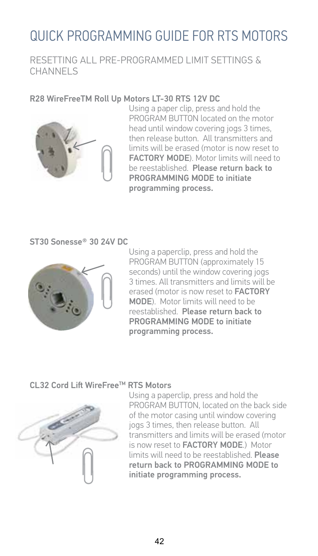#### RESETTING ALL PRE-PROGRAMMED LIMIT SETTINGS & CHANNELS

#### R28 WireFreeTM Roll Up Motors LT-30 RTS 12V DC



Using a paper clip, press and hold the PROGRAM BUTTON located on the motor head until window covering jogs 3 times. then release button. All transmitters and limits will be erased (motor is now reset to **FACTORY MODE**). Motor limits will need to be reestablished. Please return back to PROGRAMMING MODE to initiate programming process.

ST30 Sonesse® 30 24V DC



Using a paperclip, press and hold the PROGRAM BUTTON (approximately 15 seconds) until the window covering jogs 3 times All transmitters and limits will be erased (motor is now reset to **FACTORY** MODE). Motor limits will need to be reestablished Please return back to PROGRAMMING MODE to initiate programming process.

#### CL32 Cord Lift WireFree™ RTS Motors



Using a paperclip, press and hold the PROGRAM BUTTON, located on the back side of the motor casing until window covering jogs 3 times, then release button. All transmitters and limits will be erased (motor is now reset to **FACTORY MODE**) Motor limits will need to be reestablished Please return back to PROGRAMMING MODE to initiate programming process.